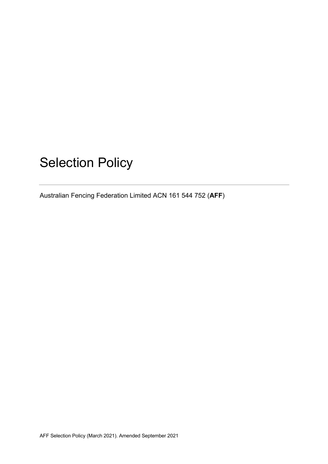# Selection Policy

Australian Fencing Federation Limited ACN 161 544 752 (**AFF**)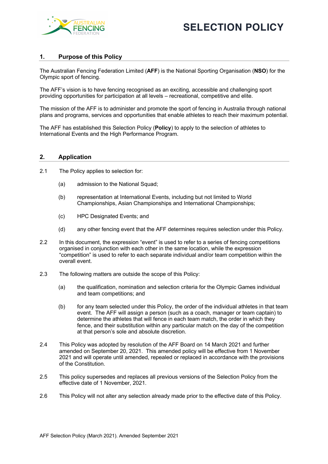



## **1. Purpose of this Policy**

The Australian Fencing Federation Limited (**AFF**) is the National Sporting Organisation (**NSO**) for the Olympic sport of fencing.

The AFF's vision is to have fencing recognised as an exciting, accessible and challenging sport providing opportunities for participation at all levels – recreational, competitive and elite.

The mission of the AFF is to administer and promote the sport of fencing in Australia through national plans and programs, services and opportunities that enable athletes to reach their maximum potential.

The AFF has established this Selection Policy (**Policy**) to apply to the selection of athletes to International Events and the High Performance Program.

#### **2. Application**

- 2.1 The Policy applies to selection for:
	- (a) admission to the National Squad;
	- (b) representation at International Events, including but not limited to World Championships, Asian Championships and International Championships;
	- (c) HPC Designated Events; and
	- (d) any other fencing event that the AFF determines requires selection under this Policy.
- 2.2 In this document, the expression "event" is used to refer to a series of fencing competitions organised in conjunction with each other in the same location, while the expression "competition" is used to refer to each separate individual and/or team competition within the overall event.
- 2.3 The following matters are outside the scope of this Policy:
	- (a) the qualification, nomination and selection criteria for the Olympic Games individual and team competitions; and
	- (b) for any team selected under this Policy, the order of the individual athletes in that team event. The AFF will assign a person (such as a coach, manager or team captain) to determine the athletes that will fence in each team match, the order in which they fence, and their substitution within any particular match on the day of the competition at that person's sole and absolute discretion.
- 2.4 This Policy was adopted by resolution of the AFF Board on 14 March 2021 and further amended on September 20, 2021. This amended policy will be effective from 1 November 2021 and will operate until amended, repealed or replaced in accordance with the provisions of the Constitution.
- 2.5 This policy supersedes and replaces all previous versions of the Selection Policy from the effective date of 1 November, 2021.
- 2.6 This Policy will not alter any selection already made prior to the effective date of this Policy.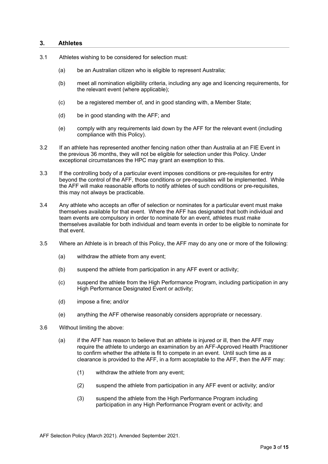#### **3. Athletes**

- 3.1 Athletes wishing to be considered for selection must:
	- (a) be an Australian citizen who is eligible to represent Australia;
	- (b) meet all nomination eligibility criteria, including any age and licencing requirements, for the relevant event (where applicable);
	- (c) be a registered member of, and in good standing with, a Member State;
	- (d) be in good standing with the AFF; and
	- (e) comply with any requirements laid down by the AFF for the relevant event (including compliance with this Policy).
- 3.2 If an athlete has represented another fencing nation other than Australia at an FIE Event in the previous 36 months, they will not be eligible for selection under this Policy. Under exceptional circumstances the HPC may grant an exemption to this.
- 3.3 If the controlling body of a particular event imposes conditions or pre-requisites for entry beyond the control of the AFF, those conditions or pre-requisites will be implemented. While the AFF will make reasonable efforts to notify athletes of such conditions or pre-requisites, this may not always be practicable.
- 3.4 Any athlete who accepts an offer of selection or nominates for a particular event must make themselves available for that event. Where the AFF has designated that both individual and team events are compulsory in order to nominate for an event, athletes must make themselves available for both individual and team events in order to be eligible to nominate for that event.
- 3.5 Where an Athlete is in breach of this Policy, the AFF may do any one or more of the following:
	- (a) withdraw the athlete from any event;
	- (b) suspend the athlete from participation in any AFF event or activity;
	- (c) suspend the athlete from the High Performance Program, including participation in any High Performance Designated Event or activity;
	- (d) impose a fine; and/or
	- (e) anything the AFF otherwise reasonably considers appropriate or necessary.
- 3.6 Without limiting the above:
	- (a) if the AFF has reason to believe that an athlete is injured or ill, then the AFF may require the athlete to undergo an examination by an AFF-Approved Health Practitioner to confirm whether the athlete is fit to compete in an event. Until such time as a clearance is provided to the AFF, in a form acceptable to the AFF, then the AFF may:
		- (1) withdraw the athlete from any event;
		- (2) suspend the athlete from participation in any AFF event or activity; and/or
		- (3) suspend the athlete from the High Performance Program including participation in any High Performance Program event or activity; and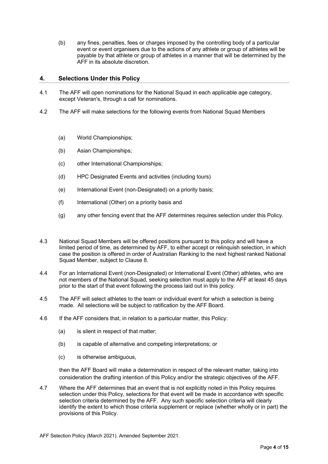(b) any fines, penalties, fees or charges imposed by the controlling body of a particular event or event organisers due to the actions of any athlete or group of athletes will be payable by that athlete or group of athletes in a manner that will be determined by the AFF in its absolute discretion.

## **4. Selections Under this Policy**

- 4.1 The AFF will open nominations for the National Squad in each applicable age category, except Veteran's, through a call for nominations.
- 4.2 The AFF will make selections for the following events from National Squad Members
	- (a) World Championships;
	- (b) Asian Championships;
	- (c) other International Championships;
	- (d) HPC Designated Events and activities (including tours)
	- (e) International Event (non-Designated) on a priority basis;
	- (f) International (Other) on a priority basis and
	- (g) any other fencing event that the AFF determines requires selection under this Policy.
- 4.3 National Squad Members will be offered positions pursuant to this policy and will have a limited period of time, as determined by AFF, to either accept or relinquish selection, in which case the position is offered in order of Australian Ranking to the next highest ranked National Squad Member, subject to Clause 8.
- 4.4 For an International Event (non-Designated) or International Event (Other) athletes, who are not members of the National Squad, seeking selection must apply to the AFF at least 45 days prior to the start of that event following the process laid out in this policy.
- 4.5 The AFF will select athletes to the team or individual event for which a selection is being made. All selections will be subject to ratification by the AFF Board.
- 4.6 If the AFF considers that, in relation to a particular matter, this Policy:
	- (a) is silent in respect of that matter;
	- (b) is capable of alternative and competing interpretations; or
	- (c) is otherwise ambiguous,

then the AFF Board will make a determination in respect of the relevant matter, taking into consideration the drafting intention of this Policy and/or the strategic objectives of the AFF.

4.7 Where the AFF determines that an event that is not explicitly noted in this Policy requires selection under this Policy, selections for that event will be made in accordance with specific selection criteria determined by the AFF. Any such specific selection criteria will clearly identify the extent to which those criteria supplement or replace (whether wholly or in part) the provisions of this Policy.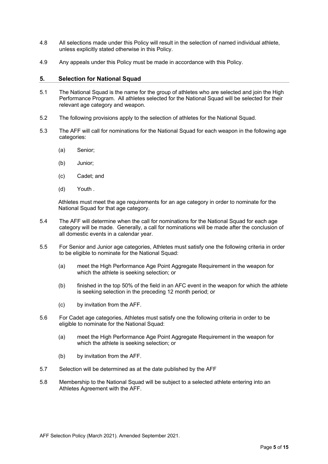- 4.8 All selections made under this Policy will result in the selection of named individual athlete, unless explicitly stated otherwise in this Policy.
- 4.9 Any appeals under this Policy must be made in accordance with this Policy.

#### **5. Selection for National Squad**

- 5.1 The National Squad is the name for the group of athletes who are selected and join the High Performance Program. All athletes selected for the National Squad will be selected for their relevant age category and weapon.
- 5.2 The following provisions apply to the selection of athletes for the National Squad.
- 5.3 The AFF will call for nominations for the National Squad for each weapon in the following age categories:
	- (a) Senior;
	- (b) Junior;
	- (c) Cadet; and
	- (d) Youth .

Athletes must meet the age requirements for an age category in order to nominate for the National Squad for that age category.

- 5.4 The AFF will determine when the call for nominations for the National Squad for each age category will be made. Generally, a call for nominations will be made after the conclusion of all domestic events in a calendar year.
- 5.5 For Senior and Junior age categories, Athletes must satisfy one the following criteria in order to be eligible to nominate for the National Squad:
	- (a) meet the High Performance Age Point Aggregate Requirement in the weapon for which the athlete is seeking selection; or
	- (b) finished in the top 50% of the field in an AFC event in the weapon for which the athlete is seeking selection in the preceding 12 month period; or
	- (c) by invitation from the AFF.
- 5.6 For Cadet age categories, Athletes must satisfy one the following criteria in order to be eligible to nominate for the National Squad:
	- (a) meet the High Performance Age Point Aggregate Requirement in the weapon for which the athlete is seeking selection; or
	- (b) by invitation from the AFF.
- 5.7 Selection will be determined as at the date published by the AFF
- 5.8 Membership to the National Squad will be subject to a selected athlete entering into an Athletes Agreement with the AFF.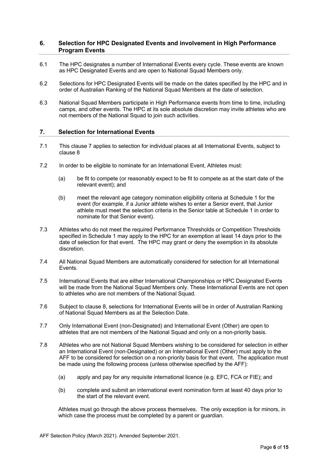## **6. Selection for HPC Designated Events and involvement in High Performance Program Events**

- 6.1 The HPC designates a number of International Events every cycle. These events are known as HPC Designated Events and are open to National Squad Members only.
- 6.2 Selections for HPC Designated Events will be made on the dates specified by the HPC and in order of Australian Ranking of the National Squad Members at the date of selection.
- 6.3 National Squad Members participate in High Performance events from time to time, including camps, and other events. The HPC at its sole absolute discretion may invite athletes who are not members of the National Squad to join such activities.

#### **7. Selection for International Events**

- 7.1 This clause 7 applies to selection for individual places at all International Events, subject to clause 8
- 7.2 In order to be eligible to nominate for an International Event, Athletes must:
	- (a) be fit to compete (or reasonably expect to be fit to compete as at the start date of the relevant event); and
	- (b) meet the relevant age category nomination eligibility criteria at Schedule 1 for the event (for example, if a Junior athlete wishes to enter a Senior event, that Junior athlete must meet the selection criteria in the Senior table at Schedule 1 in order to nominate for that Senior event).
- 7.3 Athletes who do not meet the required Performance Thresholds or Competition Thresholds specified in Schedule 1 may apply to the HPC for an exemption at least 14 days prior to the date of selection for that event. The HPC may grant or deny the exemption in its absolute discretion.
- 7.4 All National Squad Members are automatically considered for selection for all International Events.
- 7.5 International Events that are either International Championships or HPC Designated Events will be made from the National Squad Members only. These International Events are not open to athletes who are not members of the National Squad.
- 7.6 Subject to clause 8, selections for International Events will be in order of Australian Ranking of National Squad Members as at the Selection Date.
- 7.7 Only International Event (non-Designated) and International Event (Other) are open to athletes that are not members of the National Squad and only on a non-priority basis.
- 7.8 Athletes who are not National Squad Members wishing to be considered for selection in either an International Event (non-Designated) or an International Event (Other) must apply to the AFF to be considered for selection on a non-priority basis for that event. The application must be made using the following process (unless otherwise specified by the AFF):
	- (a) apply and pay for any requisite international licence (e.g. EFC, FCA or FIE); and
	- (b) complete and submit an international event nomination form at least 40 days prior to the start of the relevant event.

Athletes must go through the above process themselves. The only exception is for minors, in which case the process must be completed by a parent or guardian.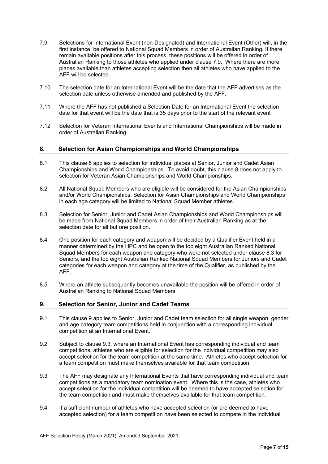- 7.9 Selections for International Event (non-Designated) and International Event (Other) will, in the first instance, be offered to National Squad Members in order of Australian Ranking. If there remain available positions after this process, these positions will be offered in order of Australian Ranking to those athletes who applied under clause 7.9. Where there are more places available than athletes accepting selection then all athletes who have applied to the AFF will be selected.
- 7.10 The selection date for an International Event will be the date that the AFF advertises as the selection date unless otherwise amended and published by the AFF.
- 7.11 Where the AFF has not published a Selection Date for an International Event the selection date for that event will be the date that is 35 days prior to the start of the relevant event
- 7.12 Selection for Veteran International Events and International Championships will be made in order of Australian Ranking.

#### **8. Selection for Asian Championships and World Championships**

- 8.1 This clause 8 applies to selection for individual places at Senior, Junior and Cadet Asian Championships and World Championships. To avoid doubt, this clause 8 does not apply to selection for Veteran Asian Championships and World Championships.
- 8.2 All National Squad Members who are eligible will be considered for the Asian Championships and/or World Championships. Selection for Asian Championships and World Championships in each age category will be limited to National Squad Member athletes.
- 8.3 Selection for Senior, Junior and Cadet Asian Championships and World Championships will be made from National Squad Members in order of their Australian Ranking as at the selection date for all but one position.
- 8.4 One position for each category and weapon will be decided by a Qualifier Event held in a manner determined by the HPC and be open to the top eight Australian Ranked National Squad Members for each weapon and category who were not selected under clause 8.3 for Seniors, and the top eight Australian Ranked National Squad Members for Juniors and Cadet categories for each weapon and category at the time of the Qualifier, as published by the AFF.
- 8.5 Where an athlete subsequently becomes unavailable the position will be offered in order of Australian Ranking to National Squad Members.

#### **9. Selection for Senior, Junior and Cadet Teams**

- 9.1 This clause 9 applies to Senior, Junior and Cadet team selection for all single weapon, gender and age category team competitions held in conjunction with a corresponding individual competition at an International Event.
- 9.2 Subject to clause 9.3, where an International Event has corresponding individual and team competitions, athletes who are eligible for selection for the individual competition may also accept selection for the team competition at the same time. Athletes who accept selection for a team competition must make themselves available for that team competition.
- 9.3 The AFF may designate any International Events that have corresponding individual and team competitions as a mandatory team nomination event. Where this is the case, athletes who accept selection for the individual competition will be deemed to have accepted selection for the team competition and must make themselves available for that team competition.
- 9.4 If a sufficient number of athletes who have accepted selection (or are deemed to have accepted selection) for a team competition have been selected to compete in the individual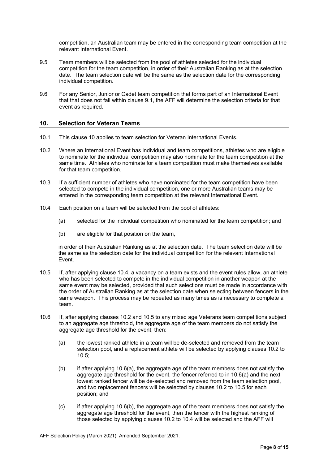competition, an Australian team may be entered in the corresponding team competition at the relevant International Event.

- 9.5 Team members will be selected from the pool of athletes selected for the individual competition for the team competition, in order of their Australian Ranking as at the selection date. The team selection date will be the same as the selection date for the corresponding individual competition.
- 9.6 For any Senior, Junior or Cadet team competition that forms part of an International Event that that does not fall within clause 9.1, the AFF will determine the selection criteria for that event as required.

#### **10. Selection for Veteran Teams**

- 10.1 This clause 10 applies to team selection for Veteran International Events.
- 10.2 Where an International Event has individual and team competitions, athletes who are eligible to nominate for the individual competition may also nominate for the team competition at the same time. Athletes who nominate for a team competition must make themselves available for that team competition.
- 10.3 If a sufficient number of athletes who have nominated for the team competition have been selected to compete in the individual competition, one or more Australian teams may be entered in the corresponding team competition at the relevant International Event.
- 10.4 Each position on a team will be selected from the pool of athletes:
	- (a) selected for the individual competition who nominated for the team competition; and
	- (b) are eligible for that position on the team,

in order of their Australian Ranking as at the selection date. The team selection date will be the same as the selection date for the individual competition for the relevant International Event.

- 10.5 If, after applying clause 10.4, a vacancy on a team exists and the event rules allow, an athlete who has been selected to compete in the individual competition in another weapon at the same event may be selected, provided that such selections must be made in accordance with the order of Australian Ranking as at the selection date when selecting between fencers in the same weapon. This process may be repeated as many times as is necessary to complete a team.
- 10.6 If, after applying clauses 10.2 and 10.5 to any mixed age Veterans team competitions subject to an aggregate age threshold, the aggregate age of the team members do not satisfy the aggregate age threshold for the event, then:
	- (a) the lowest ranked athlete in a team will be de-selected and removed from the team selection pool, and a replacement athlete will be selected by applying clauses 10.2 to 10.5;
	- (b) if after applying 10.6(a), the aggregate age of the team members does not satisfy the aggregate age threshold for the event, the fencer referred to in 10.6(a) and the next lowest ranked fencer will be de-selected and removed from the team selection pool, and two replacement fencers will be selected by clauses 10.2 to 10.5 for each position; and
	- $(c)$  if after applying 10.6(b), the aggregate age of the team members does not satisfy the aggregate age threshold for the event, then the fencer with the highest ranking of those selected by applying clauses 10.2 to 10.4 will be selected and the AFF will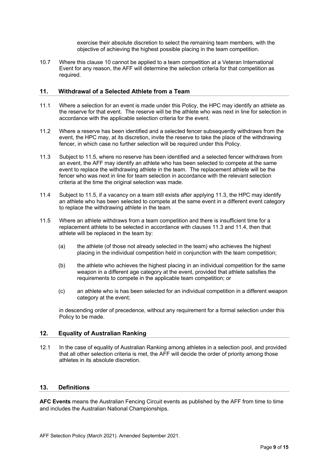exercise their absolute discretion to select the remaining team members, with the objective of achieving the highest possible placing in the team competition.

10.7 Where this clause 10 cannot be applied to a team competition at a Veteran International Event for any reason, the AFF will determine the selection criteria for that competition as required.

#### **11. Withdrawal of a Selected Athlete from a Team**

- 11.1 Where a selection for an event is made under this Policy, the HPC may identify an athlete as the reserve for that event. The reserve will be the athlete who was next in line for selection in accordance with the applicable selection criteria for the event.
- 11.2 Where a reserve has been identified and a selected fencer subsequently withdraws from the event, the HPC may, at its discretion, invite the reserve to take the place of the withdrawing fencer, in which case no further selection will be required under this Policy.
- 11.3 Subject to 11.5, where no reserve has been identified and a selected fencer withdraws from an event, the AFF may identify an athlete who has been selected to compete at the same event to replace the withdrawing athlete in the team. The replacement athlete will be the fencer who was next in line for team selection in accordance with the relevant selection criteria at the time the original selection was made.
- 11.4 Subject to 11.5, if a vacancy on a team still exists after applying 11.3, the HPC may identify an athlete who has been selected to compete at the same event in a different event category to replace the withdrawing athlete in the team.
- 11.5 Where an athlete withdraws from a team competition and there is insufficient time for a replacement athlete to be selected in accordance with clauses 11.3 and 11.4, then that athlete will be replaced in the team by:
	- (a) the athlete (of those not already selected in the team) who achieves the highest placing in the individual competition held in conjunction with the team competition;
	- (b) the athlete who achieves the highest placing in an individual competition for the same weapon in a different age category at the event, provided that athlete satisfies the requirements to compete in the applicable team competition; or
	- (c) an athlete who is has been selected for an individual competition in a different weapon category at the event;

in descending order of precedence, without any requirement for a formal selection under this Policy to be made.

#### **12. Equality of Australian Ranking**

12.1 In the case of equality of Australian Ranking among athletes in a selection pool, and provided that all other selection criteria is met, the AFF will decide the order of priority among those athletes in its absolute discretion.

## **13. Definitions**

**AFC Events** means the Australian Fencing Circuit events as published by the AFF from time to time and includes the Australian National Championships.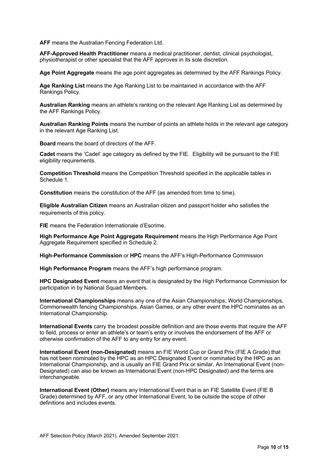**AFF** means the Australian Fencing Federation Ltd.

**AFF-Approved Health Practitioner** means a medical practitioner, dentist, clinical psychologist, physiotherapist or other specialist that the AFF approves in its sole discretion.

**Age Point Aggregate** means the age point aggregates as determined by the AFF Rankings Policy.

**Age Ranking List** means the Age Ranking List to be maintained in accordance with the AFF Rankings Policy.

**Australian Ranking** means an athlete's ranking on the relevant Age Ranking List as determined by the AFF Rankings Policy.

**Australian Ranking Points** means the number of points an athlete holds in the relevant age category in the relevant Age Ranking List.

**Board** means the board of directors of the AFF.

**Cadet** means the 'Cadet' age category as defined by the FIE. Eligibility will be pursuant to the FIE eligibility requirements.

**Competition Threshold** means the Competition Threshold specified in the applicable tables in Schedule 1.

**Constitution** means the constitution of the AFF (as amended from time to time).

**Eligible Australian Citizen** means an Australian citizen and passport holder who satisfies the requirements of this policy.

**FIE** means the Federation Internationale d'Escrime.

**High Performance Age Point Aggregate Requirement** means the High Performance Age Point Aggregate Requirement specified in Schedule 2.

**High-Performance Commission** or **HPC** means the AFF's High-Performance Commission

**High Performance Program** means the AFF's high performance program.

**HPC Designated Event** means an event that is designated by the High Performance Commission for participation in by National Squad Members.

**International Championships** means any one of the Asian Championships, World Championships, Commonwealth fencing Championships, Asian Games, or any other event the HPC nominates as an International Championship.

**International Events** carry the broadest possible definition and are those events that require the AFF to field, process or enter an athlete's or team's entry or involves the endorsement of the AFF or otherwise confirmation of the AFF to any entry for any event.

**International Event (non-Designated)** means an FIE World Cup or Grand Prix (FIE A Grade) that has not been nominated by the HPC as an HPC Designated Event or nominated by the HPC as an International Championship, and is usually an FIE Grand Prix or similar. An International Event (non-Designated) can also be known as International Event (non-HPC Designated) and the terms are interchangeable.

**International Event (Other)** means any International Event that is an FIE Satellite Event (FIE B Grade) determined by AFF, or any other International Event, to be outside the scope of other definitions and includes events.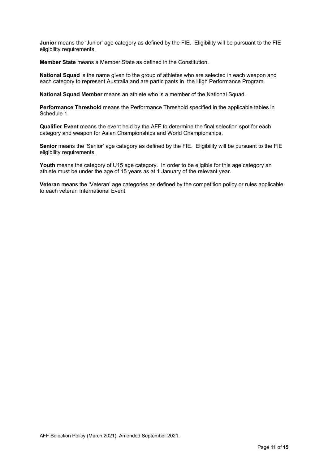**Junior** means the 'Junior' age category as defined by the FIE. Eligibility will be pursuant to the FIE eligibility requirements.

**Member State** means a Member State as defined in the Constitution.

**National Squad** is the name given to the group of athletes who are selected in each weapon and each category to represent Australia and are participants in the High Performance Program.

**National Squad Member** means an athlete who is a member of the National Squad.

**Performance Threshold** means the Performance Threshold specified in the applicable tables in Schedule 1.

**Qualifier Event** means the event held by the AFF to determine the final selection spot for each category and weapon for Asian Championships and World Championships.

**Senior** means the 'Senior' age category as defined by the FIE. Eligibility will be pursuant to the FIE eligibility requirements.

**Youth** means the category of U15 age category. In order to be eligible for this age category an athlete must be under the age of 15 years as at 1 January of the relevant year.

**Veteran** means the 'Veteran' age categories as defined by the competition policy or rules applicable to each veteran International Event.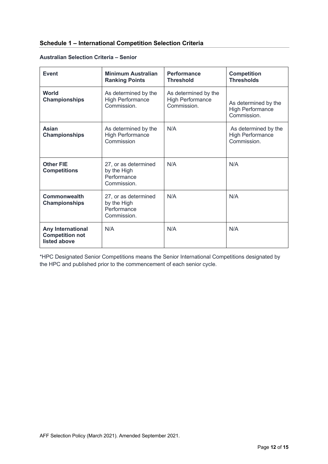# **Schedule 1 – International Competition Selection Criteria**

| <b>Event</b>                                                | <b>Minimum Australian</b><br><b>Ranking Points</b>                | <b>Performance</b><br><b>Threshold</b>                         | <b>Competition</b><br><b>Thresholds</b>                        |
|-------------------------------------------------------------|-------------------------------------------------------------------|----------------------------------------------------------------|----------------------------------------------------------------|
| World<br><b>Championships</b>                               | As determined by the<br><b>High Performance</b><br>Commission.    | As determined by the<br><b>High Performance</b><br>Commission. | As determined by the<br><b>High Performance</b><br>Commission. |
| <b>Asian</b><br><b>Championships</b>                        | As determined by the<br><b>High Performance</b><br>Commission     | N/A                                                            | As determined by the<br><b>High Performance</b><br>Commission. |
| <b>Other FIE</b><br><b>Competitions</b>                     | 27, or as determined<br>by the High<br>Performance<br>Commission. | N/A                                                            | N/A                                                            |
| <b>Commonwealth</b><br><b>Championships</b>                 | 27, or as determined<br>by the High<br>Performance<br>Commission. | N/A                                                            | N/A                                                            |
| Any International<br><b>Competition not</b><br>listed above | N/A                                                               | N/A                                                            | N/A                                                            |

## **Australian Selection Criteria – Senior**

\*HPC Designated Senior Competitions means the Senior International Competitions designated by the HPC and published prior to the commencement of each senior cycle.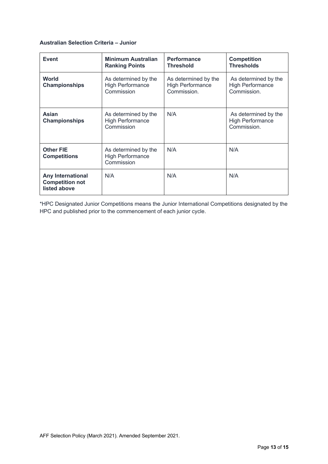## **Australian Selection Criteria – Junior**

| Event                                                              | <b>Minimum Australian</b><br><b>Ranking Points</b>            | <b>Performance</b><br><b>Threshold</b>                         | <b>Competition</b><br><b>Thresholds</b>                        |
|--------------------------------------------------------------------|---------------------------------------------------------------|----------------------------------------------------------------|----------------------------------------------------------------|
| <b>World</b><br><b>Championships</b>                               | As determined by the<br><b>High Performance</b><br>Commission | As determined by the<br><b>High Performance</b><br>Commission. | As determined by the<br><b>High Performance</b><br>Commission. |
| Asian<br><b>Championships</b>                                      | As determined by the<br><b>High Performance</b><br>Commission | N/A                                                            | As determined by the<br><b>High Performance</b><br>Commission. |
| <b>Other FIE</b><br><b>Competitions</b>                            | As determined by the<br>High Performance<br>Commission        | N/A                                                            | N/A                                                            |
| <b>Any International</b><br><b>Competition not</b><br>listed above | N/A                                                           | N/A                                                            | N/A                                                            |

\*HPC Designated Junior Competitions means the Junior International Competitions designated by the HPC and published prior to the commencement of each junior cycle.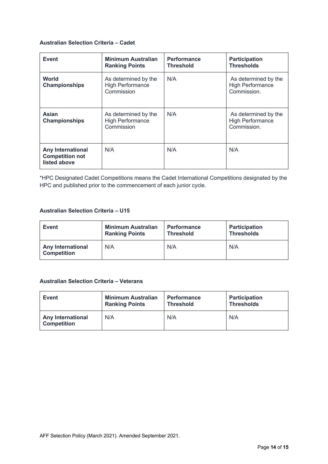## **Australian Selection Criteria – Cadet**

| <b>Event</b>                                                       | <b>Minimum Australian</b><br><b>Ranking Points</b>            | <b>Performance</b><br><b>Threshold</b> | <b>Participation</b><br><b>Thresholds</b>                      |
|--------------------------------------------------------------------|---------------------------------------------------------------|----------------------------------------|----------------------------------------------------------------|
| <b>World</b><br><b>Championships</b>                               | As determined by the<br><b>High Performance</b><br>Commission | N/A                                    | As determined by the<br><b>High Performance</b><br>Commission. |
| Asian<br><b>Championships</b>                                      | As determined by the<br><b>High Performance</b><br>Commission | N/A                                    | As determined by the<br><b>High Performance</b><br>Commission. |
| <b>Any International</b><br><b>Competition not</b><br>listed above | N/A                                                           | N/A                                    | N/A                                                            |

\*HPC Designated Cadet Competitions means the Cadet International Competitions designated by the HPC and published prior to the commencement of each junior cycle.

## **Australian Selection Criteria – U15**

| <b>Event</b>                                   | <b>Minimum Australian</b> | <b>Performance</b> | <b>Participation</b> |
|------------------------------------------------|---------------------------|--------------------|----------------------|
|                                                | <b>Ranking Points</b>     | <b>Threshold</b>   | <b>Thresholds</b>    |
| <b>Any International</b><br><b>Competition</b> | N/A                       | N/A                | N/A                  |

## **Australian Selection Criteria – Veterans**

| <b>Event</b>                                   | <b>Minimum Australian</b> | <b>Performance</b> | <b>Participation</b> |
|------------------------------------------------|---------------------------|--------------------|----------------------|
|                                                | <b>Ranking Points</b>     | <b>Threshold</b>   | <b>Thresholds</b>    |
| <b>Any International</b><br><b>Competition</b> | N/A                       | N/A                | N/A                  |